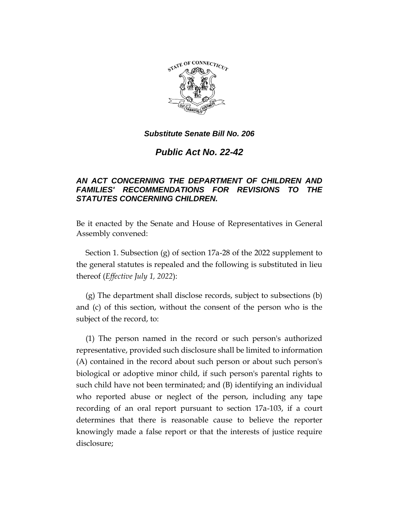

*Public Act No. 22-42*

# *AN ACT CONCERNING THE DEPARTMENT OF CHILDREN AND FAMILIES' RECOMMENDATIONS FOR REVISIONS TO THE STATUTES CONCERNING CHILDREN.*

Be it enacted by the Senate and House of Representatives in General Assembly convened:

Section 1. Subsection (g) of section 17a-28 of the 2022 supplement to the general statutes is repealed and the following is substituted in lieu thereof (*Effective July 1, 2022*):

(g) The department shall disclose records, subject to subsections (b) and (c) of this section, without the consent of the person who is the subject of the record, to:

(1) The person named in the record or such person's authorized representative, provided such disclosure shall be limited to information (A) contained in the record about such person or about such person's biological or adoptive minor child, if such person's parental rights to such child have not been terminated; and (B) identifying an individual who reported abuse or neglect of the person, including any tape recording of an oral report pursuant to section 17a-103, if a court determines that there is reasonable cause to believe the reporter knowingly made a false report or that the interests of justice require disclosure;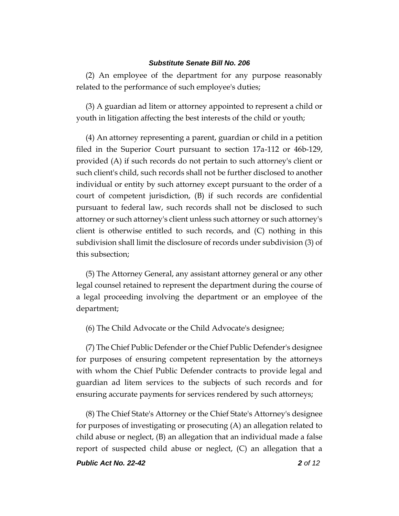(2) An employee of the department for any purpose reasonably related to the performance of such employee's duties;

(3) A guardian ad litem or attorney appointed to represent a child or youth in litigation affecting the best interests of the child or youth;

(4) An attorney representing a parent, guardian or child in a petition filed in the Superior Court pursuant to section 17a-112 or 46b-129, provided (A) if such records do not pertain to such attorney's client or such client's child, such records shall not be further disclosed to another individual or entity by such attorney except pursuant to the order of a court of competent jurisdiction, (B) if such records are confidential pursuant to federal law, such records shall not be disclosed to such attorney or such attorney's client unless such attorney or such attorney's client is otherwise entitled to such records, and (C) nothing in this subdivision shall limit the disclosure of records under subdivision (3) of this subsection;

(5) The Attorney General, any assistant attorney general or any other legal counsel retained to represent the department during the course of a legal proceeding involving the department or an employee of the department;

(6) The Child Advocate or the Child Advocate's designee;

(7) The Chief Public Defender or the Chief Public Defender's designee for purposes of ensuring competent representation by the attorneys with whom the Chief Public Defender contracts to provide legal and guardian ad litem services to the subjects of such records and for ensuring accurate payments for services rendered by such attorneys;

(8) The Chief State's Attorney or the Chief State's Attorney's designee for purposes of investigating or prosecuting (A) an allegation related to child abuse or neglect, (B) an allegation that an individual made a false report of suspected child abuse or neglect, (C) an allegation that a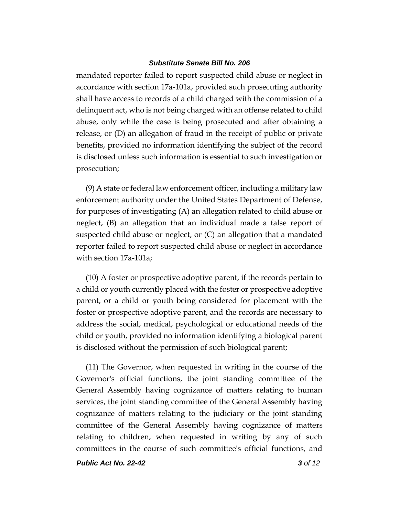mandated reporter failed to report suspected child abuse or neglect in accordance with section 17a-101a, provided such prosecuting authority shall have access to records of a child charged with the commission of a delinquent act, who is not being charged with an offense related to child abuse, only while the case is being prosecuted and after obtaining a release, or (D) an allegation of fraud in the receipt of public or private benefits, provided no information identifying the subject of the record is disclosed unless such information is essential to such investigation or prosecution;

(9) A state or federal law enforcement officer, including a military law enforcement authority under the United States Department of Defense, for purposes of investigating (A) an allegation related to child abuse or neglect, (B) an allegation that an individual made a false report of suspected child abuse or neglect, or (C) an allegation that a mandated reporter failed to report suspected child abuse or neglect in accordance with section 17a-101a;

(10) A foster or prospective adoptive parent, if the records pertain to a child or youth currently placed with the foster or prospective adoptive parent, or a child or youth being considered for placement with the foster or prospective adoptive parent, and the records are necessary to address the social, medical, psychological or educational needs of the child or youth, provided no information identifying a biological parent is disclosed without the permission of such biological parent;

(11) The Governor, when requested in writing in the course of the Governor's official functions, the joint standing committee of the General Assembly having cognizance of matters relating to human services, the joint standing committee of the General Assembly having cognizance of matters relating to the judiciary or the joint standing committee of the General Assembly having cognizance of matters relating to children, when requested in writing by any of such committees in the course of such committee's official functions, and

*Public Act No. 22-42 3 of 12*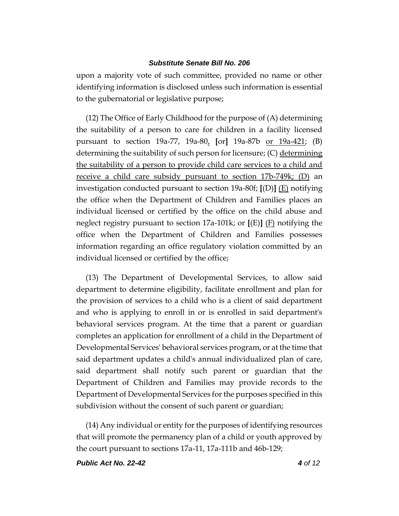upon a majority vote of such committee, provided no name or other identifying information is disclosed unless such information is essential to the gubernatorial or legislative purpose;

(12) The Office of Early Childhood for the purpose of (A) determining the suitability of a person to care for children in a facility licensed pursuant to section 19a-77, 19a-80, **[**or**]** 19a-87b or 19a-421; (B) determining the suitability of such person for licensure; (C) determining the suitability of a person to provide child care services to a child and receive a child care subsidy pursuant to section 17b-749k; (D) an investigation conducted pursuant to section 19a-80f; **[**(D)**]** (E) notifying the office when the Department of Children and Families places an individual licensed or certified by the office on the child abuse and neglect registry pursuant to section 17a-101k; or **[**(E)**]** (F) notifying the office when the Department of Children and Families possesses information regarding an office regulatory violation committed by an individual licensed or certified by the office;

(13) The Department of Developmental Services, to allow said department to determine eligibility, facilitate enrollment and plan for the provision of services to a child who is a client of said department and who is applying to enroll in or is enrolled in said department's behavioral services program. At the time that a parent or guardian completes an application for enrollment of a child in the Department of Developmental Services' behavioral services program, or at the time that said department updates a child's annual individualized plan of care, said department shall notify such parent or guardian that the Department of Children and Families may provide records to the Department of Developmental Services for the purposes specified in this subdivision without the consent of such parent or guardian;

(14) Any individual or entity for the purposes of identifying resources that will promote the permanency plan of a child or youth approved by the court pursuant to sections 17a-11, 17a-111b and 46b-129;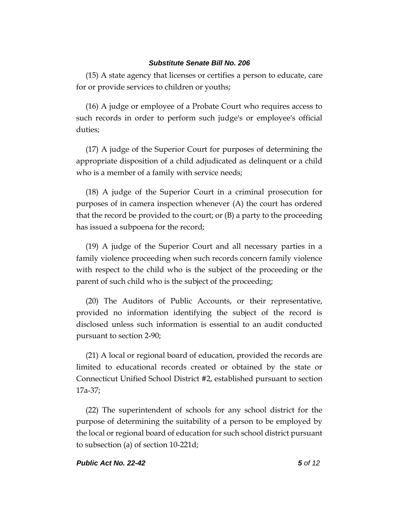(15) A state agency that licenses or certifies a person to educate, care for or provide services to children or youths;

(16) A judge or employee of a Probate Court who requires access to such records in order to perform such judge's or employee's official duties;

(17) A judge of the Superior Court for purposes of determining the appropriate disposition of a child adjudicated as delinquent or a child who is a member of a family with service needs;

(18) A judge of the Superior Court in a criminal prosecution for purposes of in camera inspection whenever (A) the court has ordered that the record be provided to the court; or (B) a party to the proceeding has issued a subpoena for the record;

(19) A judge of the Superior Court and all necessary parties in a family violence proceeding when such records concern family violence with respect to the child who is the subject of the proceeding or the parent of such child who is the subject of the proceeding;

(20) The Auditors of Public Accounts, or their representative, provided no information identifying the subject of the record is disclosed unless such information is essential to an audit conducted pursuant to section 2-90;

(21) A local or regional board of education, provided the records are limited to educational records created or obtained by the state or Connecticut Unified School District #2, established pursuant to section 17a-37;

(22) The superintendent of schools for any school district for the purpose of determining the suitability of a person to be employed by the local or regional board of education for such school district pursuant to subsection (a) of section 10-221d;

### *Public Act No. 22-42 5 of 12*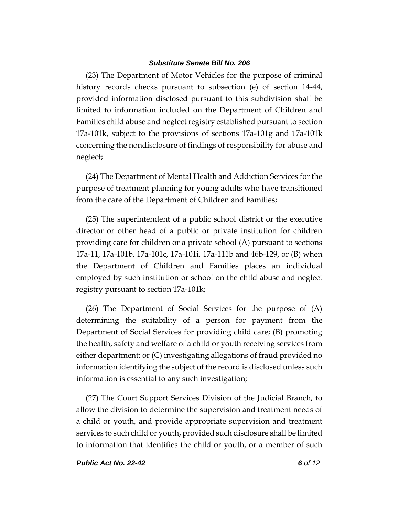(23) The Department of Motor Vehicles for the purpose of criminal history records checks pursuant to subsection (e) of section 14-44, provided information disclosed pursuant to this subdivision shall be limited to information included on the Department of Children and Families child abuse and neglect registry established pursuant to section 17a-101k, subject to the provisions of sections 17a-101g and 17a-101k concerning the nondisclosure of findings of responsibility for abuse and neglect;

(24) The Department of Mental Health and Addiction Services for the purpose of treatment planning for young adults who have transitioned from the care of the Department of Children and Families;

(25) The superintendent of a public school district or the executive director or other head of a public or private institution for children providing care for children or a private school (A) pursuant to sections 17a-11, 17a-101b, 17a-101c, 17a-101i, 17a-111b and 46b-129, or (B) when the Department of Children and Families places an individual employed by such institution or school on the child abuse and neglect registry pursuant to section 17a-101k;

(26) The Department of Social Services for the purpose of (A) determining the suitability of a person for payment from the Department of Social Services for providing child care; (B) promoting the health, safety and welfare of a child or youth receiving services from either department; or (C) investigating allegations of fraud provided no information identifying the subject of the record is disclosed unless such information is essential to any such investigation;

(27) The Court Support Services Division of the Judicial Branch, to allow the division to determine the supervision and treatment needs of a child or youth, and provide appropriate supervision and treatment services to such child or youth, provided such disclosure shall be limited to information that identifies the child or youth, or a member of such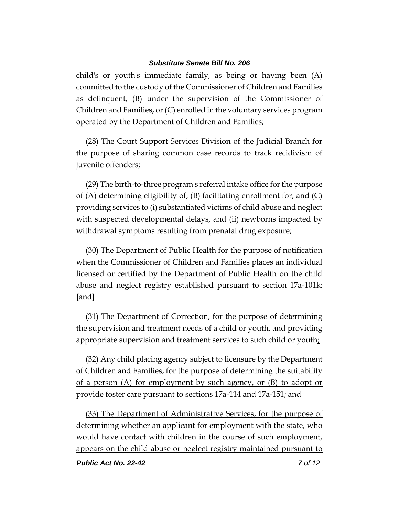child's or youth's immediate family, as being or having been (A) committed to the custody of the Commissioner of Children and Families as delinquent, (B) under the supervision of the Commissioner of Children and Families, or (C) enrolled in the voluntary services program operated by the Department of Children and Families;

(28) The Court Support Services Division of the Judicial Branch for the purpose of sharing common case records to track recidivism of juvenile offenders;

(29) The birth-to-three program's referral intake office for the purpose of  $(A)$  determining eligibility of,  $(B)$  facilitating enrollment for, and  $(C)$ providing services to (i) substantiated victims of child abuse and neglect with suspected developmental delays, and (ii) newborns impacted by withdrawal symptoms resulting from prenatal drug exposure;

(30) The Department of Public Health for the purpose of notification when the Commissioner of Children and Families places an individual licensed or certified by the Department of Public Health on the child abuse and neglect registry established pursuant to section 17a-101k; **[**and**]**

(31) The Department of Correction, for the purpose of determining the supervision and treatment needs of a child or youth, and providing appropriate supervision and treatment services to such child or youth;

(32) Any child placing agency subject to licensure by the Department of Children and Families, for the purpose of determining the suitability of a person (A) for employment by such agency, or (B) to adopt or provide foster care pursuant to sections 17a-114 and 17a-151; and

(33) The Department of Administrative Services, for the purpose of determining whether an applicant for employment with the state, who would have contact with children in the course of such employment, appears on the child abuse or neglect registry maintained pursuant to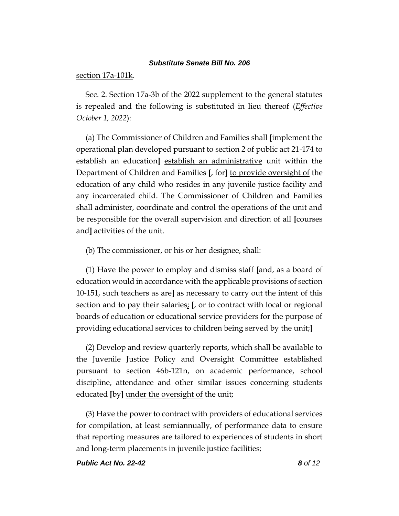#### section 17a-101k.

Sec. 2. Section 17a-3b of the 2022 supplement to the general statutes is repealed and the following is substituted in lieu thereof (*Effective October 1, 2022*):

(a) The Commissioner of Children and Families shall **[**implement the operational plan developed pursuant to section 2 of public act 21-174 to establish an education**]** establish an administrative unit within the Department of Children and Families **[**, for**]** to provide oversight of the education of any child who resides in any juvenile justice facility and any incarcerated child. The Commissioner of Children and Families shall administer, coordinate and control the operations of the unit and be responsible for the overall supervision and direction of all **[**courses and**]** activities of the unit.

(b) The commissioner, or his or her designee, shall:

(1) Have the power to employ and dismiss staff **[**and, as a board of education would in accordance with the applicable provisions of section 10-151, such teachers as are**]** as necessary to carry out the intent of this section and to pay their salaries; **[**, or to contract with local or regional boards of education or educational service providers for the purpose of providing educational services to children being served by the unit;**]**

(2) Develop and review quarterly reports, which shall be available to the Juvenile Justice Policy and Oversight Committee established pursuant to section 46b-121n, on academic performance, school discipline, attendance and other similar issues concerning students educated **[**by**]** under the oversight of the unit;

(3) Have the power to contract with providers of educational services for compilation, at least semiannually, of performance data to ensure that reporting measures are tailored to experiences of students in short and long-term placements in juvenile justice facilities;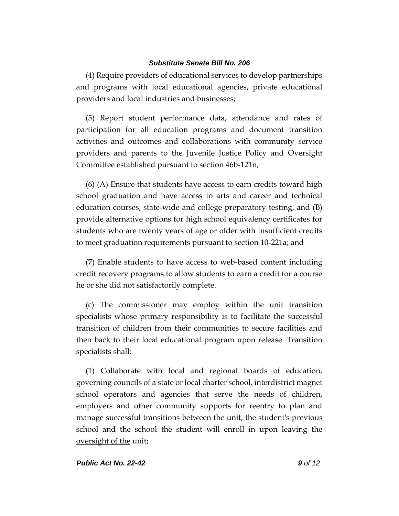(4) Require providers of educational services to develop partnerships and programs with local educational agencies, private educational providers and local industries and businesses;

(5) Report student performance data, attendance and rates of participation for all education programs and document transition activities and outcomes and collaborations with community service providers and parents to the Juvenile Justice Policy and Oversight Committee established pursuant to section 46b-121n;

(6) (A) Ensure that students have access to earn credits toward high school graduation and have access to arts and career and technical education courses, state-wide and college preparatory testing, and (B) provide alternative options for high school equivalency certificates for students who are twenty years of age or older with insufficient credits to meet graduation requirements pursuant to section 10-221a; and

(7) Enable students to have access to web-based content including credit recovery programs to allow students to earn a credit for a course he or she did not satisfactorily complete.

(c) The commissioner may employ within the unit transition specialists whose primary responsibility is to facilitate the successful transition of children from their communities to secure facilities and then back to their local educational program upon release. Transition specialists shall:

(1) Collaborate with local and regional boards of education, governing councils of a state or local charter school, interdistrict magnet school operators and agencies that serve the needs of children, employers and other community supports for reentry to plan and manage successful transitions between the unit, the student's previous school and the school the student will enroll in upon leaving the oversight of the unit;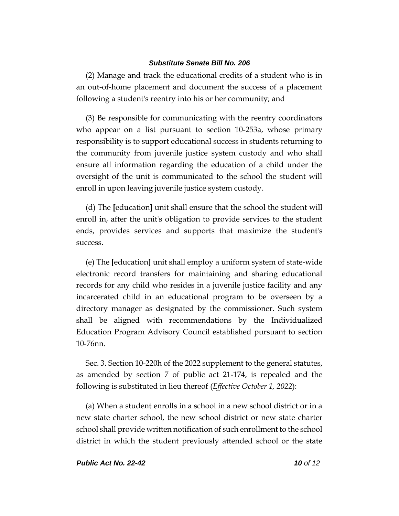(2) Manage and track the educational credits of a student who is in an out-of-home placement and document the success of a placement following a student's reentry into his or her community; and

(3) Be responsible for communicating with the reentry coordinators who appear on a list pursuant to section 10-253a, whose primary responsibility is to support educational success in students returning to the community from juvenile justice system custody and who shall ensure all information regarding the education of a child under the oversight of the unit is communicated to the school the student will enroll in upon leaving juvenile justice system custody.

(d) The **[**education**]** unit shall ensure that the school the student will enroll in, after the unit's obligation to provide services to the student ends, provides services and supports that maximize the student's success.

(e) The **[**education**]** unit shall employ a uniform system of state-wide electronic record transfers for maintaining and sharing educational records for any child who resides in a juvenile justice facility and any incarcerated child in an educational program to be overseen by a directory manager as designated by the commissioner. Such system shall be aligned with recommendations by the Individualized Education Program Advisory Council established pursuant to section 10-76nn.

Sec. 3. Section 10-220h of the 2022 supplement to the general statutes, as amended by section 7 of public act 21-174, is repealed and the following is substituted in lieu thereof (*Effective October 1, 2022*):

(a) When a student enrolls in a school in a new school district or in a new state charter school, the new school district or new state charter school shall provide written notification of such enrollment to the school district in which the student previously attended school or the state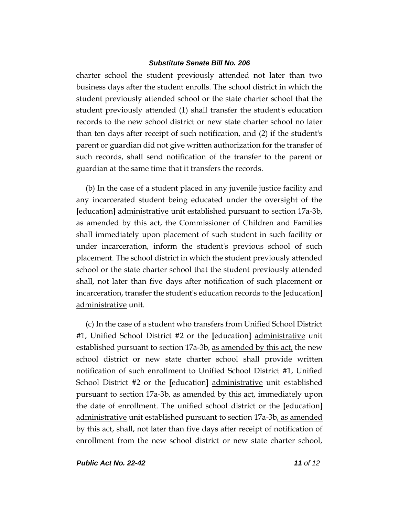charter school the student previously attended not later than two business days after the student enrolls. The school district in which the student previously attended school or the state charter school that the student previously attended (1) shall transfer the student's education records to the new school district or new state charter school no later than ten days after receipt of such notification, and (2) if the student's parent or guardian did not give written authorization for the transfer of such records, shall send notification of the transfer to the parent or guardian at the same time that it transfers the records.

(b) In the case of a student placed in any juvenile justice facility and any incarcerated student being educated under the oversight of the **[**education**]** administrative unit established pursuant to section 17a-3b, as amended by this act, the Commissioner of Children and Families shall immediately upon placement of such student in such facility or under incarceration, inform the student's previous school of such placement. The school district in which the student previously attended school or the state charter school that the student previously attended shall, not later than five days after notification of such placement or incarceration, transfer the student's education records to the **[**education**]** administrative unit.

(c) In the case of a student who transfers from Unified School District #1, Unified School District #2 or the **[**education**]** administrative unit established pursuant to section 17a-3b, as amended by this act, the new school district or new state charter school shall provide written notification of such enrollment to Unified School District #1, Unified School District #2 or the **[**education**]** administrative unit established pursuant to section 17a-3b, as amended by this act, immediately upon the date of enrollment. The unified school district or the **[**education**]** administrative unit established pursuant to section 17a-3b, as amended by this act, shall, not later than five days after receipt of notification of enrollment from the new school district or new state charter school,